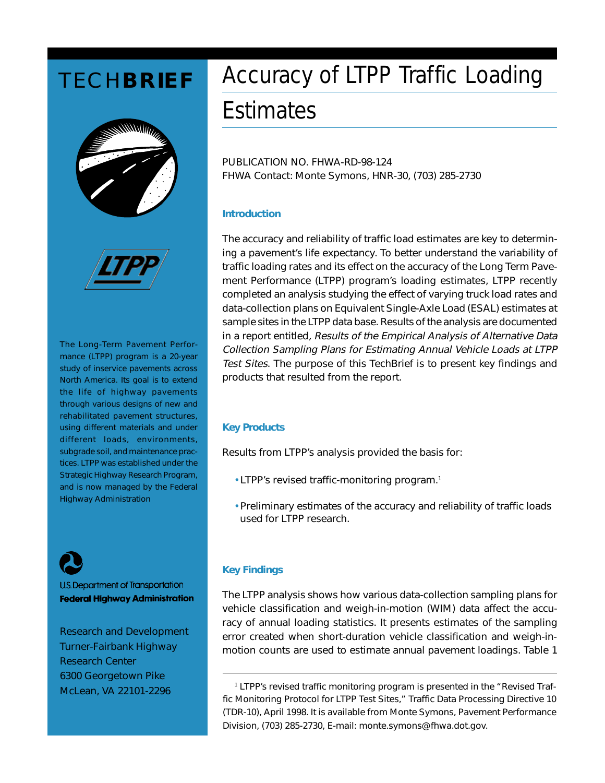



The Long-Term Pavement Performance (LTPP) program is a 20-year study of inservice pavements across North America. Its goal is to extend the life of highway pavements through various designs of new and rehabilitated pavement structures, using different materials and under different loads, environments, subgrade soil, and maintenance practices. LTPP was established under the Strategic Highway Research Program, and is now managed by the Federal Highway Administration

U.S. Department of Transportation **Federal Highway Administration** 

Research and Development Turner-Fairbank Highway Research Center 6300 Georgetown Pike McLean, VA 22101-2296

# **TECHBRIEF** Accuracy of LTPP Traffic Loading

## **Estimates**

PUBLICATION NO. FHWA-RD-98-124 FHWA Contact: Monte Symons, HNR-30, (703) 285-2730

#### **Introduction**

The accuracy and reliability of traffic load estimates are key to determining a pavement's life expectancy. To better understand the variability of traffic loading rates and its effect on the accuracy of the Long Term Pavement Performance (LTPP) program's loading estimates, LTPP recently completed an analysis studying the effect of varying truck load rates and data-collection plans on Equivalent Single-Axle Load (ESAL) estimates at sample sites in the LTPP data base. Results of the analysis are documented in a report entitled, Results of the Empirical Analysis of Alternative Data Collection Sampling Plans for Estimating Annual Vehicle Loads at LTPP Test Sites. The purpose of this TechBrief is to present key findings and products that resulted from the report.

#### **Key Products**

Results from LTPP's analysis provided the basis for:

- LTPP's revised traffic-monitoring program.<sup>1</sup>
- Preliminary estimates of the accuracy and reliability of traffic loads used for LTPP research.

### **Key Findings**

The LTPP analysis shows how various data-collection sampling plans for vehicle classification and weigh-in-motion (WIM) data affect the accuracy of annual loading statistics. It presents estimates of the sampling error created when short-duration vehicle classification and weigh-inmotion counts are used to estimate annual pavement loadings. Table 1

LTPP's revised traffic monitoring program is presented in the "Revised Traffic Monitoring Protocol for LTPP Test Sites," Traffic Data Processing Directive 10 (TDR-10), April 1998. It is available from Monte Symons, Pavement Performance Division, (703) 285-2730, E-mail: monte.symons@fhwa.dot.gov.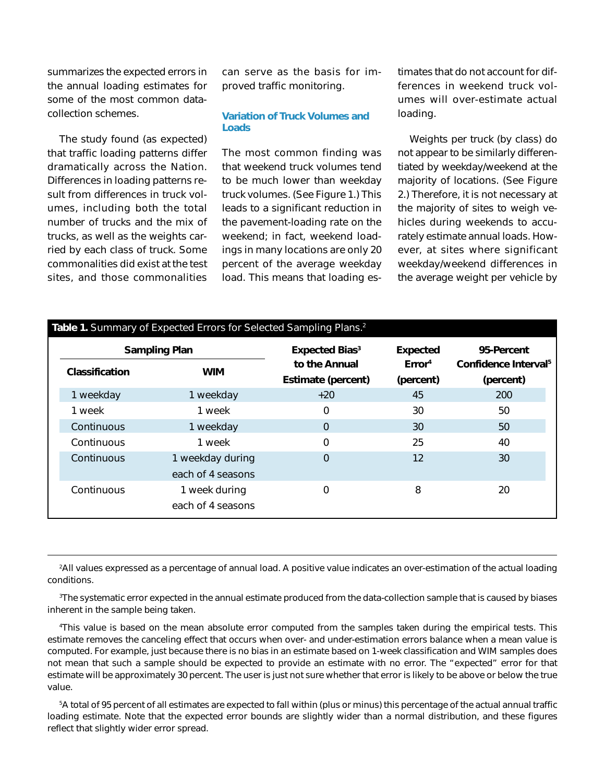summarizes the expected errors in the annual loading estimates for some of the most common datacollection schemes.

The study found (as expected) that traffic loading patterns differ dramatically across the Nation. Differences in loading patterns result from differences in truck volumes, including both the total number of trucks and the mix of trucks, as well as the weights carried by each class of truck. Some commonalities did exist at the test sites, and those commonalities

can serve as the basis for improved traffic monitoring.

#### **Variation of Truck Volumes and Loads**

The most common finding was that weekend truck volumes tend to be much lower than weekday truck volumes. (See Figure 1.) This leads to a significant reduction in the pavement-loading rate on the weekend; in fact, weekend loadings in many locations are only 20 percent of the average weekday load. This means that loading estimates that do not account for differences in weekend truck volumes will over-estimate actual loading.

Weights per truck (by class) do not appear to be similarly differentiated by weekday/weekend at the majority of locations. (See Figure 2.) Therefore, it is not necessary at the majority of sites to weigh vehicles during weekends to accurately estimate annual loads. However, at sites where significant weekday/weekend differences in the average weight per vehicle by

| <b>Sampling Plan</b>  |                                       | <b>Expected Bias<sup>3</sup></b>           | <b>Expected</b>                 | 95-Percent                                    |
|-----------------------|---------------------------------------|--------------------------------------------|---------------------------------|-----------------------------------------------|
| <b>Classification</b> | <b>WIM</b>                            | to the Annual<br><b>Estimate (percent)</b> | Error <sup>4</sup><br>(percent) | Confidence Interval <sup>5</sup><br>(percent) |
| 1 weekday             | 1 weekday                             | $+20$                                      | 45                              | 200                                           |
| 1 week                | 1 week                                | 0                                          | 30                              | 50                                            |
| Continuous            | 1 weekday                             | $\Omega$                                   | 30                              | 50                                            |
| Continuous            | 1 week                                | 0                                          | 25                              | 40                                            |
| Continuous            | 1 weekday during<br>each of 4 seasons | 0                                          | 12                              | 30                                            |
| Continuous            | 1 week during<br>each of 4 seasons    | 0                                          | 8                               | 20                                            |

2 All values expressed as a percentage of annual load. A positive value indicates an over-estimation of the actual loading conditions.

3 The systematic error expected in the annual estimate produced from the data-collection sample that is caused by biases inherent in the sample being taken.

4 This value is based on the mean absolute error computed from the samples taken during the empirical tests. This estimate removes the canceling effect that occurs when over- and under-estimation errors balance when a mean value is computed. For example, just because there is no bias in an estimate based on 1-week classification and WIM samples does not mean that such a sample should be expected to provide an estimate with no error. The "expected" error for that estimate will be approximately 30 percent. The user is just not sure whether that error is likely to be above or below the true value.

5 A total of 95 percent of all estimates are expected to fall within (plus or minus) this percentage of the actual annual traffic loading estimate. Note that the expected error bounds are slightly wider than a normal distribution, and these figures reflect that slightly wider error spread.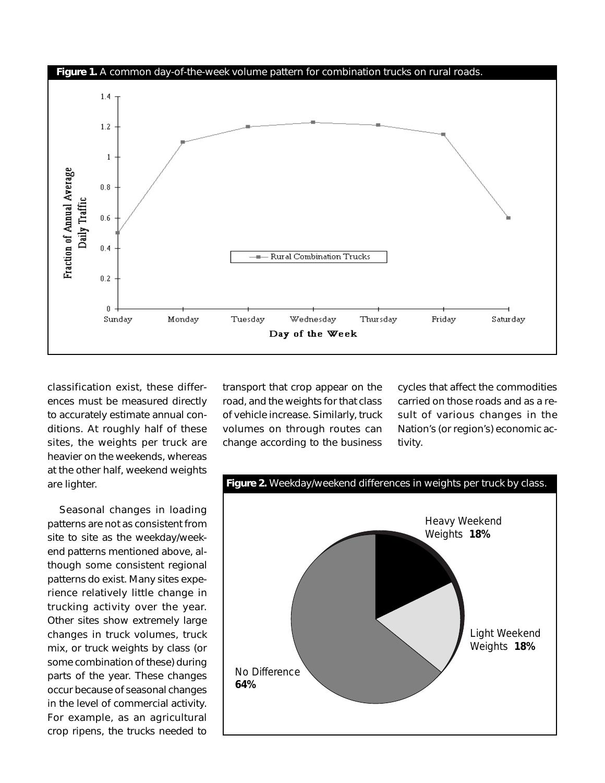

classification exist, these differences must be measured directly to accurately estimate annual conditions. At roughly half of these sites, the weights per truck are heavier on the weekends, whereas at the other half, weekend weights are lighter.

Seasonal changes in loading patterns are not as consistent from site to site as the weekday/weekend patterns mentioned above, although some consistent regional patterns do exist. Many sites experience relatively little change in trucking activity over the year. Other sites show extremely large changes in truck volumes, truck mix, or truck weights by class (or some combination of these) during parts of the year. These changes occur because of seasonal changes in the level of commercial activity. For example, as an agricultural crop ripens, the trucks needed to

transport that crop appear on the road, and the weights for that class of vehicle increase. Similarly, truck volumes on through routes can change according to the business

cycles that affect the commodities carried on those roads and as a result of various changes in the Nation's (or region's) economic activity.